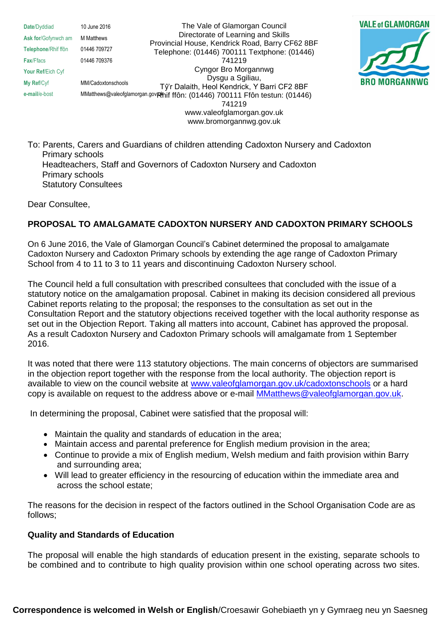**Date**/Dyddiad 10 June 2016 **Ask for/Gofynwch am M Matthews Telephone**/Rhif ffôn 01446 709727 **Fax**/Ffacs 01446 709376 **Your Ref**/Eich Cyf **My Ref**/Cyf MM/Cadoxtonschools

e-mail/e-bost MMatthews@valeofglamorgan.gov**. Phif ffôn: (01446) 700111 Ffôn testun: (01446)** The Vale of Glamorgan Council Directorate of Learning and Skills Provincial House, Kendrick Road, Barry CF62 8BF Telephone: (01446) 700111 Textphone: (01446) 741219 Cyngor Bro Morgannwg Dysgu a Sgiliau, Tŷ'r Dalaith, Heol Kendrick, Y Barri CF2 8BF 741219 www.valeofglamorgan.gov.uk www.bromorgannwg.gov.uk



To: Parents, Carers and Guardians of children attending Cadoxton Nursery and Cadoxton Primary schools Headteachers, Staff and Governors of Cadoxton Nursery and Cadoxton Primary schools Statutory Consultees

Dear Consultee,

## **PROPOSAL TO AMALGAMATE CADOXTON NURSERY AND CADOXTON PRIMARY SCHOOLS**

On 6 June 2016, the Vale of Glamorgan Council's Cabinet determined the proposal to amalgamate Cadoxton Nursery and Cadoxton Primary schools by extending the age range of Cadoxton Primary School from 4 to 11 to 3 to 11 years and discontinuing Cadoxton Nursery school.

The Council held a full consultation with prescribed consultees that concluded with the issue of a statutory notice on the amalgamation proposal. Cabinet in making its decision considered all previous Cabinet reports relating to the proposal; the responses to the consultation as set out in the Consultation Report and the statutory objections received together with the local authority response as set out in the Objection Report. Taking all matters into account, Cabinet has approved the proposal. As a result Cadoxton Nursery and Cadoxton Primary schools will amalgamate from 1 September 2016.

It was noted that there were 113 statutory objections. The main concerns of objectors are summarised in the objection report together with the response from the local authority. The objection report is available to view on the council website at [www.valeofglamorgan.gov.uk/cadoxtonschools](http://www.valeofglamorgan.gov.uk/cadoxtonschools) or a hard copy is available on request to the address above or e-mail [MMatthews@valeofglamorgan.gov.uk.](mailto:MMatthews@valeofglamorgan.gov.uk)

In determining the proposal, Cabinet were satisfied that the proposal will:

- Maintain the quality and standards of education in the area;
- Maintain access and parental preference for English medium provision in the area;
- Continue to provide a mix of English medium, Welsh medium and faith provision within Barry and surrounding area;
- Will lead to greater efficiency in the resourcing of education within the immediate area and across the school estate;

The reasons for the decision in respect of the factors outlined in the School Organisation Code are as follows;

## **Quality and Standards of Education**

The proposal will enable the high standards of education present in the existing, separate schools to be combined and to contribute to high quality provision within one school operating across two sites.